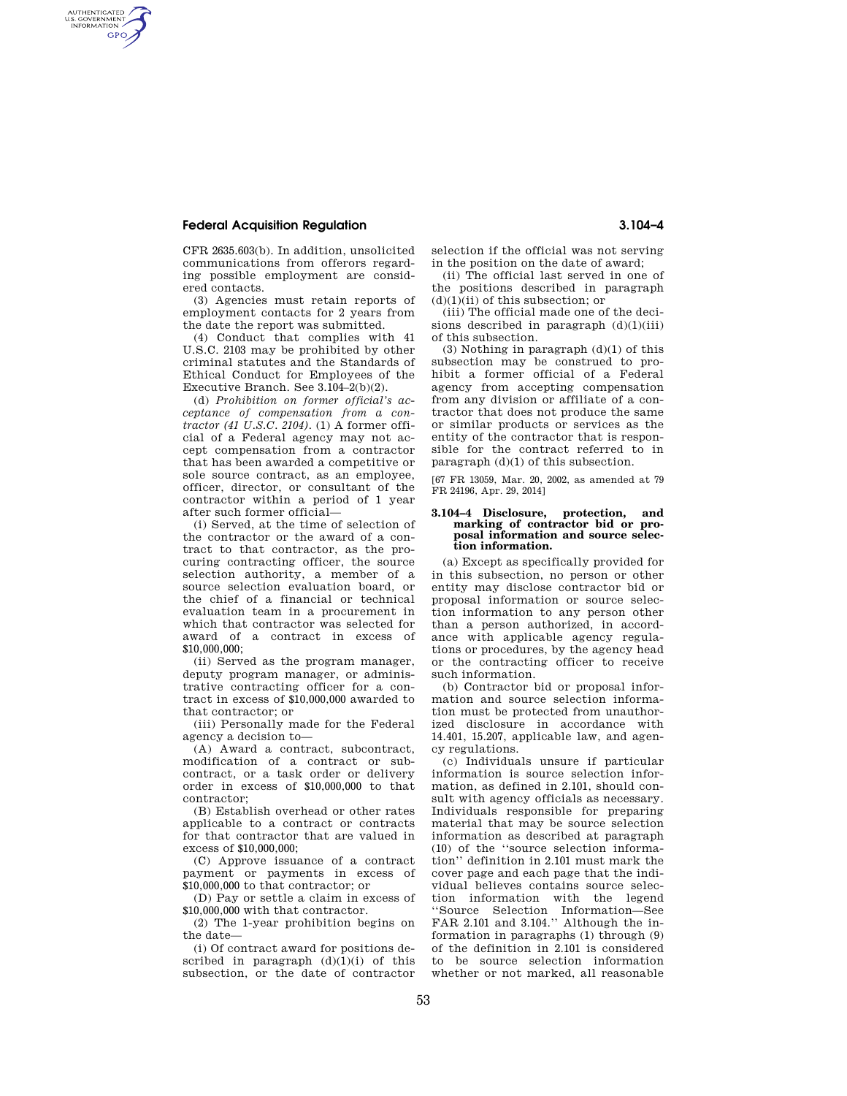## **Federal Acquisition Regulation 3.104–4**

AUTHENTICATED<br>U.S. GOVERNMENT<br>INFORMATION **GPO** 

CFR 2635.603(b). In addition, unsolicited communications from offerors regarding possible employment are considered contacts.

(3) Agencies must retain reports of employment contacts for 2 years from the date the report was submitted.

(4) Conduct that complies with 41 U.S.C. 2103 may be prohibited by other criminal statutes and the Standards of Ethical Conduct for Employees of the Executive Branch. See 3.104–2(b)(2).

(d) *Prohibition on former official's acceptance of compensation from a contractor (41 U.S.C. 2104).* (1) A former official of a Federal agency may not accept compensation from a contractor that has been awarded a competitive or sole source contract, as an employee, officer, director, or consultant of the contractor within a period of 1 year after such former official—

(i) Served, at the time of selection of the contractor or the award of a contract to that contractor, as the procuring contracting officer, the source selection authority, a member of a source selection evaluation board, or the chief of a financial or technical evaluation team in a procurement in which that contractor was selected for award of a contract in excess of \$10,000,000;

(ii) Served as the program manager, deputy program manager, or administrative contracting officer for a contract in excess of \$10,000,000 awarded to that contractor; or

(iii) Personally made for the Federal agency a decision to—

(A) Award a contract, subcontract, modification of a contract or subcontract, or a task order or delivery order in excess of \$10,000,000 to that contractor;

(B) Establish overhead or other rates applicable to a contract or contracts for that contractor that are valued in excess of \$10,000,000;

(C) Approve issuance of a contract payment or payments in excess of \$10,000,000 to that contractor; or

(D) Pay or settle a claim in excess of \$10,000,000 with that contractor.

(2) The 1-year prohibition begins on the date—

(i) Of contract award for positions described in paragraph  $(d)(1)(i)$  of this subsection, or the date of contractor selection if the official was not serving in the position on the date of award;

(ii) The official last served in one of the positions described in paragraph (d)(1)(ii) of this subsection; or

(iii) The official made one of the decisions described in paragraph  $(d)(1)(iii)$ of this subsection.

(3) Nothing in paragraph (d)(1) of this subsection may be construed to prohibit a former official of a Federal agency from accepting compensation from any division or affiliate of a contractor that does not produce the same or similar products or services as the entity of the contractor that is responsible for the contract referred to in paragraph (d)(1) of this subsection.

[67 FR 13059, Mar. 20, 2002, as amended at 79 FR 24196, Apr. 29, 2014]

## **3.104–4 Disclosure, protection, and marking of contractor bid or proposal information and source selection information.**

(a) Except as specifically provided for in this subsection, no person or other entity may disclose contractor bid or proposal information or source selection information to any person other than a person authorized, in accordance with applicable agency regulations or procedures, by the agency head or the contracting officer to receive such information.

(b) Contractor bid or proposal information and source selection information must be protected from unauthorized disclosure in accordance with 14.401, 15.207, applicable law, and agency regulations.

(c) Individuals unsure if particular information is source selection information, as defined in 2.101, should consult with agency officials as necessary. Individuals responsible for preparing material that may be source selection information as described at paragraph (10) of the ''source selection information'' definition in 2.101 must mark the cover page and each page that the individual believes contains source selection information with the legend ''Source Selection Information—See FAR 2.101 and 3.104." Although the information in paragraphs (1) through (9) of the definition in 2.101 is considered to be source selection information whether or not marked, all reasonable